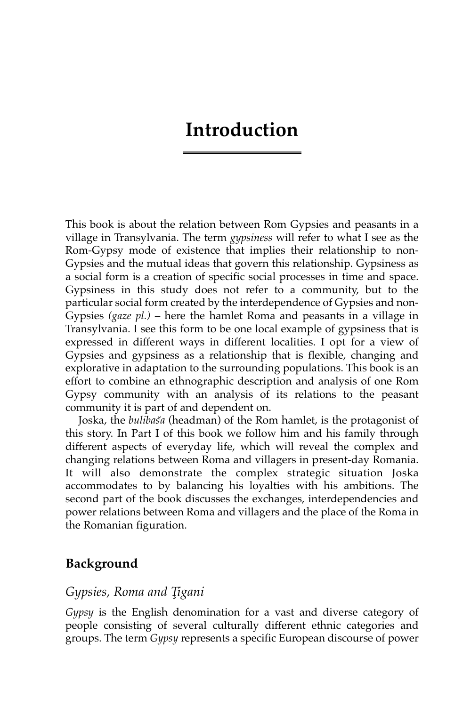# **Introduction**

This book is about the relation between Rom Gypsies and peasants in a village in Transylvania. The term *gypsiness* will refer to what I see as the Rom-Gypsy mode of existence that implies their relationship to non-Gypsies and the mutual ideas that govern this relationship. Gypsiness as a social form is a creation of specific social processes in time and space. Gypsiness in this study does not refer to a community, but to the particular social form created by the interdependence of Gypsies and non-Gypsies *(gaze pl.)* – here the hamlet Roma and peasants in a village in Transylvania. I see this form to be one local example of gypsiness that is expressed in different ways in different localities. I opt for a view of Gypsies and gypsiness as a relationship that is flexible, changing and explorative in adaptation to the surrounding populations. This book is an effort to combine an ethnographic description and analysis of one Rom Gypsy community with an analysis of its relations to the peasant community it is part of and dependent on.

Joska, the *bulibas˘a* (headman) of the Rom hamlet, is the protagonist of this story. In Part I of this book we follow him and his family through different aspects of everyday life, which will reveal the complex and changing relations between Roma and villagers in present-day Romania. It will also demonstrate the complex strategic situation Joska accommodates to by balancing his loyalties with his ambitions. The second part of the book discusses the exchanges, interdependencies and power relations between Roma and villagers and the place of the Roma in the Romanian figuration.

#### **Background**

#### *Gypsies, Roma and T¸igani*

*Gypsy* is the English denomination for a vast and diverse category of people consisting of several culturally different ethnic categories and groups. The term *Gypsy* represents a specific European discourse of power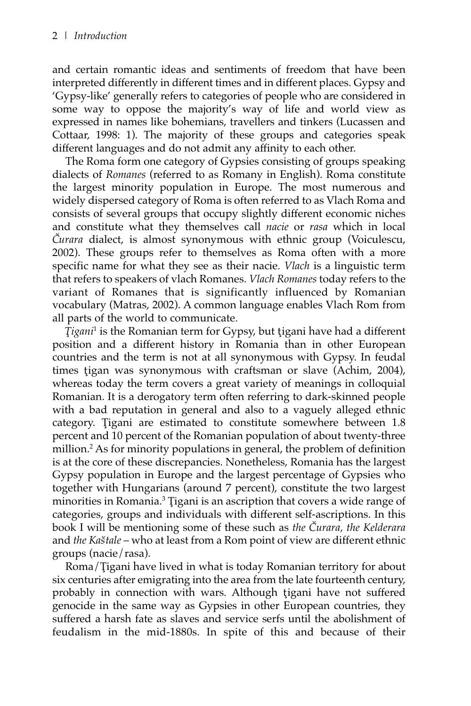and certain romantic ideas and sentiments of freedom that have been interpreted differently in different times and in different places. Gypsy and 'Gypsy-like' generally refers to categories of people who are considered in some way to oppose the majority's way of life and world view as expressed in names like bohemians, travellers and tinkers (Lucassen and Cottaar, 1998: 1). The majority of these groups and categories speak different languages and do not admit any affinity to each other.

The Roma form one category of Gypsies consisting of groups speaking dialects of *Romanes* (referred to as Romany in English). Roma constitute the largest minority population in Europe. The most numerous and widely dispersed category of Roma is often referred to as Vlach Roma and consists of several groups that occupy slightly different economic niches and constitute what they themselves call *nacie* or *rasa* which in local *C˘urara* dialect, is almost synonymous with ethnic group (Voiculescu, 2002). These groups refer to themselves as Roma often with a more specific name for what they see as their nacie. *Vlach* is a linguistic term that refers to speakers of vlach Romanes. *Vlach Romanes* today refers to the variant of Romanes that is significantly influenced by Romanian vocabulary (Matras, 2002). A common language enables Vlach Rom from all parts of the world to communicate.

*Tigani*<sup>1</sup> is the Romanian term for Gypsy, but tigani have had a different position and a different history in Romania than in other European countries and the term is not at all synonymous with Gypsy. In feudal times tigan was synonymous with craftsman or slave (Achim, 2004), whereas today the term covers a great variety of meanings in colloquial Romanian. It is a derogatory term often referring to dark-skinned people with a bad reputation in general and also to a vaguely alleged ethnic category. Tigani are estimated to constitute somewhere between 1.8 percent and 10 percent of the Romanian population of about twenty-three million.2 As for minority populations in general, the problem of definition is at the core of these discrepancies. Nonetheless, Romania has the largest Gypsy population in Europe and the largest percentage of Gypsies who together with Hungarians (around 7 percent), constitute the two largest minorities in Romania.<sup>3</sup> Tigani is an ascription that covers a wide range of categories, groups and individuals with different self-ascriptions. In this book I will be mentioning some of these such as *the C˘urara, the Kelderara* and *the Kas˘tale* – who at least from a Rom point of view are different ethnic groups (nacie/rasa).

Roma/Tigani have lived in what is today Romanian territory for about six centuries after emigrating into the area from the late fourteenth century, probably in connection with wars. Although tigani have not suffered genocide in the same way as Gypsies in other European countries, they suffered a harsh fate as slaves and service serfs until the abolishment of feudalism in the mid-1880s. In spite of this and because of their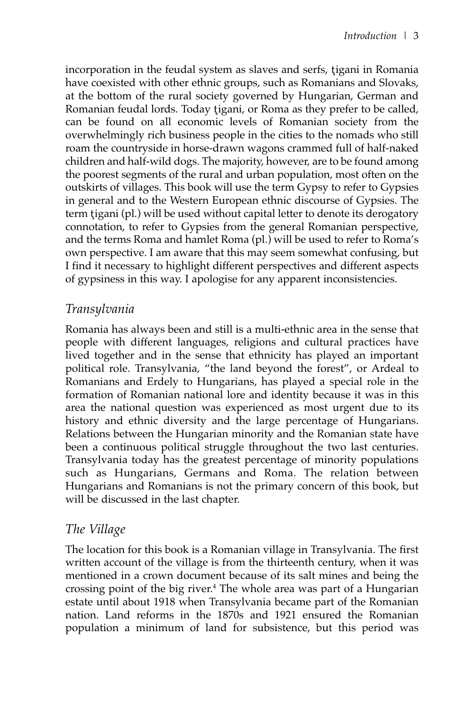incorporation in the feudal system as slaves and serfs, tigani in Romania have coexisted with other ethnic groups, such as Romanians and Slovaks, at the bottom of the rural society governed by Hungarian, German and Romanian feudal lords. Today tigani, or Roma as they prefer to be called, can be found on all economic levels of Romanian society from the overwhelmingly rich business people in the cities to the nomads who still roam the countryside in horse-drawn wagons crammed full of half-naked children and half-wild dogs. The majority, however, are to be found among the poorest segments of the rural and urban population, most often on the outskirts of villages. This book will use the term Gypsy to refer to Gypsies in general and to the Western European ethnic discourse of Gypsies. The term tigani (pl.) will be used without capital letter to denote its derogatory connotation, to refer to Gypsies from the general Romanian perspective, and the terms Roma and hamlet Roma (pl.) will be used to refer to Roma's own perspective. I am aware that this may seem somewhat confusing, but I find it necessary to highlight different perspectives and different aspects of gypsiness in this way. I apologise for any apparent inconsistencies.

# *Transylvania*

Romania has always been and still is a multi-ethnic area in the sense that people with different languages, religions and cultural practices have lived together and in the sense that ethnicity has played an important political role. Transylvania, "the land beyond the forest", or Ardeal to Romanians and Erdely to Hungarians, has played a special role in the formation of Romanian national lore and identity because it was in this area the national question was experienced as most urgent due to its history and ethnic diversity and the large percentage of Hungarians. Relations between the Hungarian minority and the Romanian state have been a continuous political struggle throughout the two last centuries. Transylvania today has the greatest percentage of minority populations such as Hungarians, Germans and Roma. The relation between Hungarians and Romanians is not the primary concern of this book, but will be discussed in the last chapter.

## *The Village*

The location for this book is a Romanian village in Transylvania. The first written account of the village is from the thirteenth century, when it was mentioned in a crown document because of its salt mines and being the crossing point of the big river.4 The whole area was part of a Hungarian estate until about 1918 when Transylvania became part of the Romanian nation. Land reforms in the 1870s and 1921 ensured the Romanian population a minimum of land for subsistence, but this period was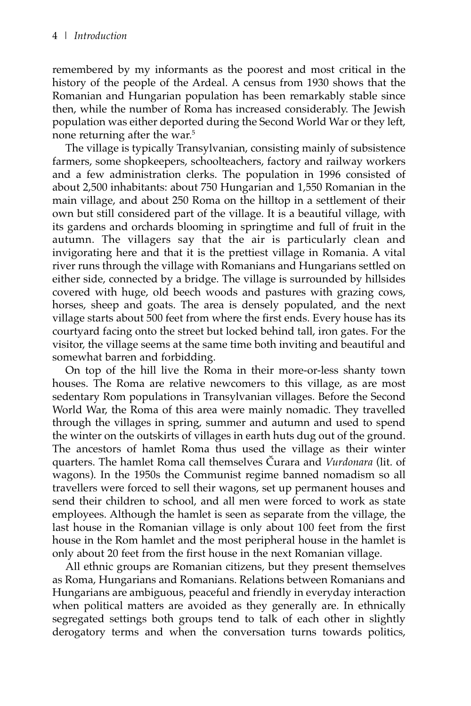remembered by my informants as the poorest and most critical in the history of the people of the Ardeal. A census from 1930 shows that the Romanian and Hungarian population has been remarkably stable since then, while the number of Roma has increased considerably. The Jewish population was either deported during the Second World War or they left, none returning after the war.<sup>5</sup>

The village is typically Transylvanian, consisting mainly of subsistence farmers, some shopkeepers, schoolteachers, factory and railway workers and a few administration clerks. The population in 1996 consisted of about 2,500 inhabitants: about 750 Hungarian and 1,550 Romanian in the main village, and about 250 Roma on the hilltop in a settlement of their own but still considered part of the village. It is a beautiful village, with its gardens and orchards blooming in springtime and full of fruit in the autumn. The villagers say that the air is particularly clean and invigorating here and that it is the prettiest village in Romania. A vital river runs through the village with Romanians and Hungarians settled on either side, connected by a bridge. The village is surrounded by hillsides covered with huge, old beech woods and pastures with grazing cows, horses, sheep and goats. The area is densely populated, and the next village starts about 500 feet from where the first ends. Every house has its courtyard facing onto the street but locked behind tall, iron gates. For the visitor, the village seems at the same time both inviting and beautiful and somewhat barren and forbidding.

On top of the hill live the Roma in their more-or-less shanty town houses. The Roma are relative newcomers to this village, as are most sedentary Rom populations in Transylvanian villages. Before the Second World War, the Roma of this area were mainly nomadic. They travelled through the villages in spring, summer and autumn and used to spend the winter on the outskirts of villages in earth huts dug out of the ground. The ancestors of hamlet Roma thus used the village as their winter quarters. The hamlet Roma call themselves Curara and *Vurdonara* (lit. of wagons). In the 1950s the Communist regime banned nomadism so all travellers were forced to sell their wagons, set up permanent houses and send their children to school, and all men were forced to work as state employees. Although the hamlet is seen as separate from the village, the last house in the Romanian village is only about 100 feet from the first house in the Rom hamlet and the most peripheral house in the hamlet is only about 20 feet from the first house in the next Romanian village.

All ethnic groups are Romanian citizens, but they present themselves as Roma, Hungarians and Romanians. Relations between Romanians and Hungarians are ambiguous, peaceful and friendly in everyday interaction when political matters are avoided as they generally are. In ethnically segregated settings both groups tend to talk of each other in slightly derogatory terms and when the conversation turns towards politics,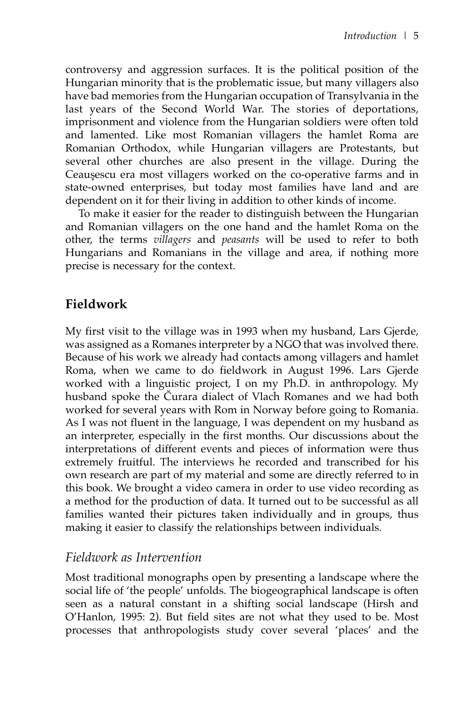controversy and aggression surfaces. It is the political position of the Hungarian minority that is the problematic issue, but many villagers also have bad memories from the Hungarian occupation of Transylvania in the last years of the Second World War. The stories of deportations, imprisonment and violence from the Hungarian soldiers were often told and lamented. Like most Romanian villagers the hamlet Roma are Romanian Orthodox, while Hungarian villagers are Protestants, but several other churches are also present in the village. During the Ceausescu era most villagers worked on the co-operative farms and in state-owned enterprises, but today most families have land and are dependent on it for their living in addition to other kinds of income.

To make it easier for the reader to distinguish between the Hungarian and Romanian villagers on the one hand and the hamlet Roma on the other, the terms *villagers* and *peasants* will be used to refer to both Hungarians and Romanians in the village and area, if nothing more precise is necessary for the context.

# **Fieldwork**

My first visit to the village was in 1993 when my husband, Lars Gjerde, was assigned as a Romanes interpreter by a NGO that was involved there. Because of his work we already had contacts among villagers and hamlet Roma, when we came to do fieldwork in August 1996. Lars Gjerde worked with a linguistic project, I on my Ph.D. in anthropology. My husband spoke the Curara dialect of Vlach Romanes and we had both worked for several years with Rom in Norway before going to Romania. As I was not fluent in the language, I was dependent on my husband as an interpreter, especially in the first months. Our discussions about the interpretations of different events and pieces of information were thus extremely fruitful. The interviews he recorded and transcribed for his own research are part of my material and some are directly referred to in this book. We brought a video camera in order to use video recording as a method for the production of data. It turned out to be successful as all families wanted their pictures taken individually and in groups, thus making it easier to classify the relationships between individuals.

## *Fieldwork as Intervention*

Most traditional monographs open by presenting a landscape where the social life of 'the people' unfolds. The biogeographical landscape is often seen as a natural constant in a shifting social landscape (Hirsh and O'Hanlon, 1995: 2). But field sites are not what they used to be. Most processes that anthropologists study cover several 'places' and the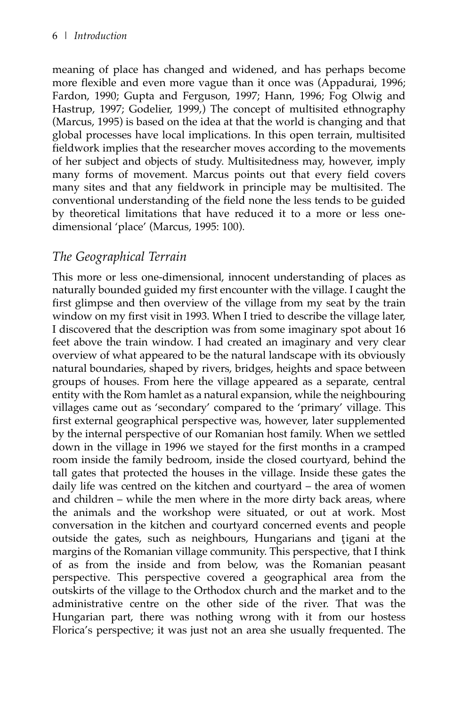meaning of place has changed and widened, and has perhaps become more flexible and even more vague than it once was (Appadurai, 1996; Fardon, 1990; Gupta and Ferguson, 1997; Hann, 1996; Fog Olwig and Hastrup, 1997; Godelier, 1999,) The concept of multisited ethnography (Marcus, 1995) is based on the idea at that the world is changing and that global processes have local implications. In this open terrain, multisited fieldwork implies that the researcher moves according to the movements of her subject and objects of study. Multisitedness may, however, imply many forms of movement. Marcus points out that every field covers many sites and that any fieldwork in principle may be multisited. The conventional understanding of the field none the less tends to be guided by theoretical limitations that have reduced it to a more or less onedimensional 'place' (Marcus, 1995: 100).

# *The Geographical Terrain*

This more or less one-dimensional, innocent understanding of places as naturally bounded guided my first encounter with the village. I caught the first glimpse and then overview of the village from my seat by the train window on my first visit in 1993. When I tried to describe the village later, I discovered that the description was from some imaginary spot about 16 feet above the train window. I had created an imaginary and very clear overview of what appeared to be the natural landscape with its obviously natural boundaries, shaped by rivers, bridges, heights and space between groups of houses. From here the village appeared as a separate, central entity with the Rom hamlet as a natural expansion, while the neighbouring villages came out as 'secondary' compared to the 'primary' village. This first external geographical perspective was, however, later supplemented by the internal perspective of our Romanian host family. When we settled down in the village in 1996 we stayed for the first months in a cramped room inside the family bedroom, inside the closed courtyard, behind the tall gates that protected the houses in the village. Inside these gates the daily life was centred on the kitchen and courtyard – the area of women and children – while the men where in the more dirty back areas, where the animals and the workshop were situated, or out at work. Most conversation in the kitchen and courtyard concerned events and people outside the gates, such as neighbours, Hungarians and tigani at the margins of the Romanian village community. This perspective, that I think of as from the inside and from below, was the Romanian peasant perspective. This perspective covered a geographical area from the outskirts of the village to the Orthodox church and the market and to the administrative centre on the other side of the river. That was the Hungarian part, there was nothing wrong with it from our hostess Florica's perspective; it was just not an area she usually frequented. The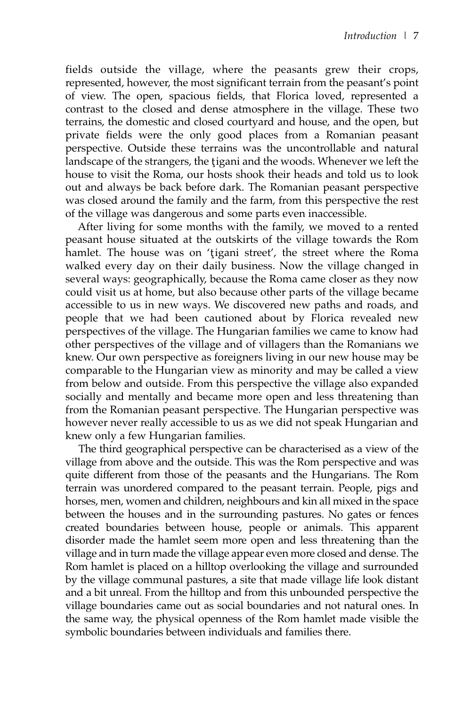fields outside the village, where the peasants grew their crops, represented, however, the most significant terrain from the peasant's point of view. The open, spacious fields, that Florica loved, represented a contrast to the closed and dense atmosphere in the village. These two terrains, the domestic and closed courtyard and house, and the open, but private fields were the only good places from a Romanian peasant perspective. Outside these terrains was the uncontrollable and natural landscape of the strangers, the tigani and the woods. Whenever we left the house to visit the Roma, our hosts shook their heads and told us to look out and always be back before dark. The Romanian peasant perspective was closed around the family and the farm, from this perspective the rest of the village was dangerous and some parts even inaccessible.

After living for some months with the family, we moved to a rented peasant house situated at the outskirts of the village towards the Rom hamlet. The house was on 'tigani street', the street where the Roma walked every day on their daily business. Now the village changed in several ways: geographically, because the Roma came closer as they now could visit us at home, but also because other parts of the village became accessible to us in new ways. We discovered new paths and roads, and people that we had been cautioned about by Florica revealed new perspectives of the village. The Hungarian families we came to know had other perspectives of the village and of villagers than the Romanians we knew. Our own perspective as foreigners living in our new house may be comparable to the Hungarian view as minority and may be called a view from below and outside. From this perspective the village also expanded socially and mentally and became more open and less threatening than from the Romanian peasant perspective. The Hungarian perspective was however never really accessible to us as we did not speak Hungarian and knew only a few Hungarian families.

The third geographical perspective can be characterised as a view of the village from above and the outside. This was the Rom perspective and was quite different from those of the peasants and the Hungarians. The Rom terrain was unordered compared to the peasant terrain. People, pigs and horses, men, women and children, neighbours and kin all mixed in the space between the houses and in the surrounding pastures. No gates or fences created boundaries between house, people or animals. This apparent disorder made the hamlet seem more open and less threatening than the village and in turn made the village appear even more closed and dense. The Rom hamlet is placed on a hilltop overlooking the village and surrounded by the village communal pastures, a site that made village life look distant and a bit unreal. From the hilltop and from this unbounded perspective the village boundaries came out as social boundaries and not natural ones. In the same way, the physical openness of the Rom hamlet made visible the symbolic boundaries between individuals and families there.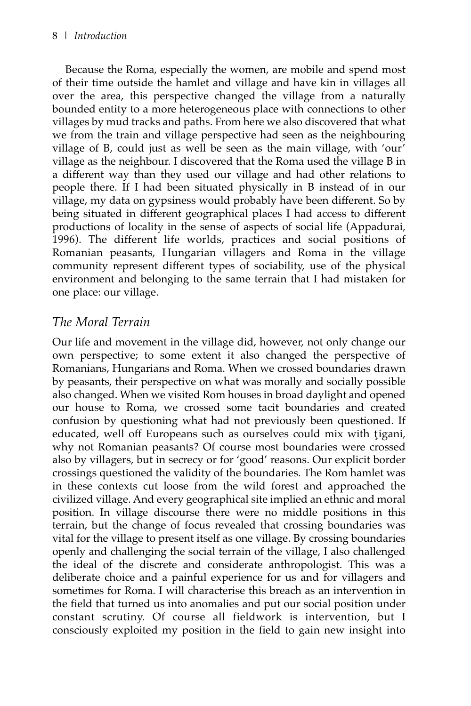Because the Roma, especially the women, are mobile and spend most of their time outside the hamlet and village and have kin in villages all over the area, this perspective changed the village from a naturally bounded entity to a more heterogeneous place with connections to other villages by mud tracks and paths. From here we also discovered that what we from the train and village perspective had seen as the neighbouring village of B, could just as well be seen as the main village, with 'our' village as the neighbour. I discovered that the Roma used the village B in a different way than they used our village and had other relations to people there. If I had been situated physically in B instead of in our village, my data on gypsiness would probably have been different. So by being situated in different geographical places I had access to different productions of locality in the sense of aspects of social life (Appadurai, 1996). The different life worlds, practices and social positions of Romanian peasants, Hungarian villagers and Roma in the village community represent different types of sociability, use of the physical environment and belonging to the same terrain that I had mistaken for one place: our village.

# *The Moral Terrain*

Our life and movement in the village did, however, not only change our own perspective; to some extent it also changed the perspective of Romanians, Hungarians and Roma. When we crossed boundaries drawn by peasants, their perspective on what was morally and socially possible also changed. When we visited Rom houses in broad daylight and opened our house to Roma, we crossed some tacit boundaries and created confusion by questioning what had not previously been questioned. If educated, well off Europeans such as ourselves could mix with tigani, why not Romanian peasants? Of course most boundaries were crossed also by villagers, but in secrecy or for 'good' reasons. Our explicit border crossings questioned the validity of the boundaries. The Rom hamlet was in these contexts cut loose from the wild forest and approached the civilized village. And every geographical site implied an ethnic and moral position. In village discourse there were no middle positions in this terrain, but the change of focus revealed that crossing boundaries was vital for the village to present itself as one village. By crossing boundaries openly and challenging the social terrain of the village, I also challenged the ideal of the discrete and considerate anthropologist. This was a deliberate choice and a painful experience for us and for villagers and sometimes for Roma. I will characterise this breach as an intervention in the field that turned us into anomalies and put our social position under constant scrutiny. Of course all fieldwork is intervention, but I consciously exploited my position in the field to gain new insight into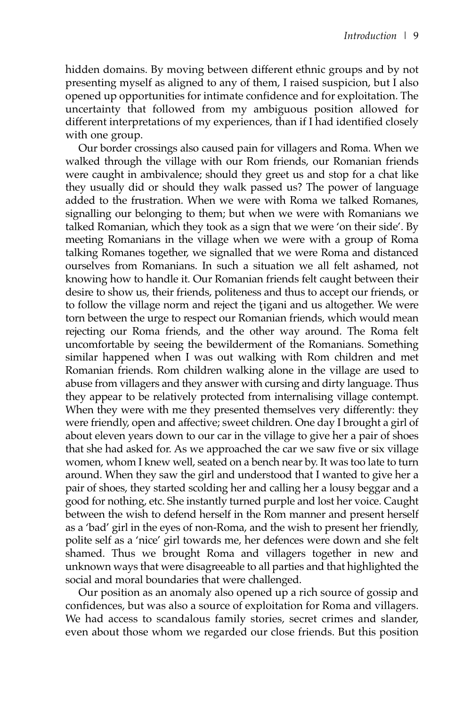hidden domains. By moving between different ethnic groups and by not presenting myself as aligned to any of them, I raised suspicion, but I also opened up opportunities for intimate confidence and for exploitation. The uncertainty that followed from my ambiguous position allowed for different interpretations of my experiences, than if I had identified closely with one group.

Our border crossings also caused pain for villagers and Roma. When we walked through the village with our Rom friends, our Romanian friends were caught in ambivalence; should they greet us and stop for a chat like they usually did or should they walk passed us? The power of language added to the frustration. When we were with Roma we talked Romanes, signalling our belonging to them; but when we were with Romanians we talked Romanian, which they took as a sign that we were 'on their side'. By meeting Romanians in the village when we were with a group of Roma talking Romanes together, we signalled that we were Roma and distanced ourselves from Romanians. In such a situation we all felt ashamed, not knowing how to handle it. Our Romanian friends felt caught between their desire to show us, their friends, politeness and thus to accept our friends, or to follow the village norm and reject the tigani and us altogether. We were torn between the urge to respect our Romanian friends, which would mean rejecting our Roma friends, and the other way around. The Roma felt uncomfortable by seeing the bewilderment of the Romanians. Something similar happened when I was out walking with Rom children and met Romanian friends. Rom children walking alone in the village are used to abuse from villagers and they answer with cursing and dirty language. Thus they appear to be relatively protected from internalising village contempt. When they were with me they presented themselves very differently: they were friendly, open and affective; sweet children. One day I brought a girl of about eleven years down to our car in the village to give her a pair of shoes that she had asked for. As we approached the car we saw five or six village women, whom I knew well, seated on a bench near by. It was too late to turn around. When they saw the girl and understood that I wanted to give her a pair of shoes, they started scolding her and calling her a lousy beggar and a good for nothing, etc. She instantly turned purple and lost her voice. Caught between the wish to defend herself in the Rom manner and present herself as a 'bad' girl in the eyes of non-Roma, and the wish to present her friendly, polite self as a 'nice' girl towards me, her defences were down and she felt shamed. Thus we brought Roma and villagers together in new and unknown ways that were disagreeable to all parties and that highlighted the social and moral boundaries that were challenged.

Our position as an anomaly also opened up a rich source of gossip and confidences, but was also a source of exploitation for Roma and villagers. We had access to scandalous family stories, secret crimes and slander, even about those whom we regarded our close friends. But this position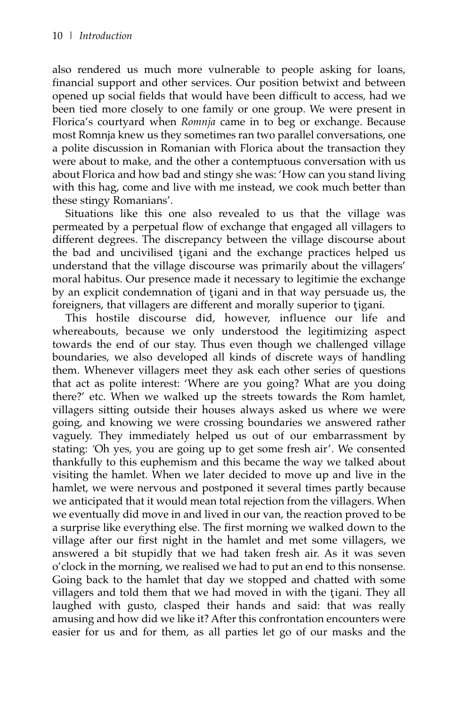also rendered us much more vulnerable to people asking for loans, financial support and other services. Our position betwixt and between opened up social fields that would have been difficult to access, had we been tied more closely to one family or one group. We were present in Florica's courtyard when *Romnja* came in to beg or exchange. Because most Romnja knew us they sometimes ran two parallel conversations, one a polite discussion in Romanian with Florica about the transaction they were about to make, and the other a contemptuous conversation with us about Florica and how bad and stingy she was: 'How can you stand living with this hag, come and live with me instead, we cook much better than these stingy Romanians'.

Situations like this one also revealed to us that the village was permeated by a perpetual flow of exchange that engaged all villagers to different degrees. The discrepancy between the village discourse about the bad and uncivilised tigani and the exchange practices helped us understand that the village discourse was primarily about the villagers' moral habitus. Our presence made it necessary to legitimie the exchange by an explicit condemnation of tigani and in that way persuade us, the foreigners, that villagers are different and morally superior to tigani.

This hostile discourse did, however, influence our life and whereabouts, because we only understood the legitimizing aspect towards the end of our stay. Thus even though we challenged village boundaries, we also developed all kinds of discrete ways of handling them. Whenever villagers meet they ask each other series of questions that act as polite interest: 'Where are you going? What are you doing there?' etc. When we walked up the streets towards the Rom hamlet, villagers sitting outside their houses always asked us where we were going, and knowing we were crossing boundaries we answered rather vaguely. They immediately helped us out of our embarrassment by stating: *'*Oh yes, you are going up to get some fresh air'. We consented thankfully to this euphemism and this became the way we talked about visiting the hamlet. When we later decided to move up and live in the hamlet, we were nervous and postponed it several times partly because we anticipated that it would mean total rejection from the villagers. When we eventually did move in and lived in our van, the reaction proved to be a surprise like everything else. The first morning we walked down to the village after our first night in the hamlet and met some villagers, we answered a bit stupidly that we had taken fresh air. As it was seven o'clock in the morning, we realised we had to put an end to this nonsense. Going back to the hamlet that day we stopped and chatted with some villagers and told them that we had moved in with the tigani. They all laughed with gusto, clasped their hands and said: that was really amusing and how did we like it? After this confrontation encounters were easier for us and for them, as all parties let go of our masks and the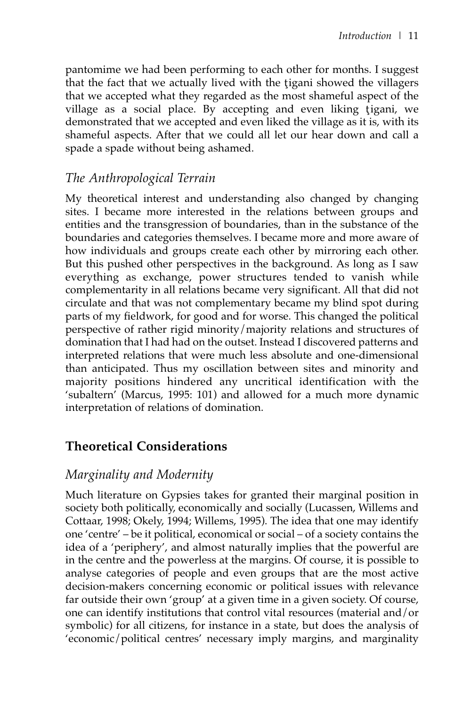pantomime we had been performing to each other for months. I suggest that the fact that we actually lived with the tigani showed the villagers that we accepted what they regarded as the most shameful aspect of the village as a social place. By accepting and even liking tigani, we demonstrated that we accepted and even liked the village as it is, with its shameful aspects. After that we could all let our hear down and call a spade a spade without being ashamed.

# *The Anthropological Terrain*

My theoretical interest and understanding also changed by changing sites. I became more interested in the relations between groups and entities and the transgression of boundaries, than in the substance of the boundaries and categories themselves. I became more and more aware of how individuals and groups create each other by mirroring each other. But this pushed other perspectives in the background. As long as I saw everything as exchange, power structures tended to vanish while complementarity in all relations became very significant. All that did not circulate and that was not complementary became my blind spot during parts of my fieldwork, for good and for worse. This changed the political perspective of rather rigid minority/majority relations and structures of domination that I had had on the outset. Instead I discovered patterns and interpreted relations that were much less absolute and one-dimensional than anticipated. Thus my oscillation between sites and minority and majority positions hindered any uncritical identification with the 'subaltern' (Marcus, 1995: 101) and allowed for a much more dynamic interpretation of relations of domination.

# **Theoretical Considerations**

## *Marginality and Modernity*

Much literature on Gypsies takes for granted their marginal position in society both politically, economically and socially (Lucassen, Willems and Cottaar, 1998; Okely, 1994; Willems, 1995). The idea that one may identify one 'centre' – be it political, economical or social – of a society contains the idea of a 'periphery', and almost naturally implies that the powerful are in the centre and the powerless at the margins. Of course, it is possible to analyse categories of people and even groups that are the most active decision-makers concerning economic or political issues with relevance far outside their own 'group' at a given time in a given society. Of course, one can identify institutions that control vital resources (material and/or symbolic) for all citizens, for instance in a state, but does the analysis of 'economic/political centres' necessary imply margins, and marginality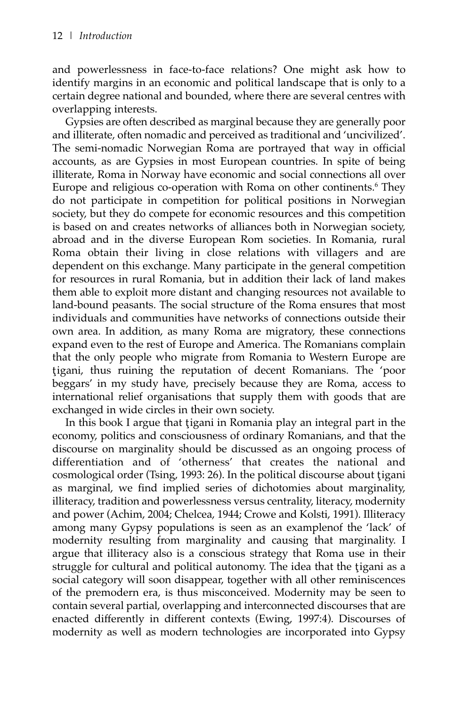and powerlessness in face-to-face relations? One might ask how to identify margins in an economic and political landscape that is only to a certain degree national and bounded, where there are several centres with overlapping interests.

Gypsies are often described as marginal because they are generally poor and illiterate, often nomadic and perceived as traditional and 'uncivilized'. The semi-nomadic Norwegian Roma are portrayed that way in official accounts, as are Gypsies in most European countries. In spite of being illiterate, Roma in Norway have economic and social connections all over Europe and religious co-operation with Roma on other continents.<sup>6</sup> They do not participate in competition for political positions in Norwegian society, but they do compete for economic resources and this competition is based on and creates networks of alliances both in Norwegian society, abroad and in the diverse European Rom societies. In Romania, rural Roma obtain their living in close relations with villagers and are dependent on this exchange. Many participate in the general competition for resources in rural Romania, but in addition their lack of land makes them able to exploit more distant and changing resources not available to land-bound peasants. The social structure of the Roma ensures that most individuals and communities have networks of connections outside their own area. In addition, as many Roma are migratory, these connections expand even to the rest of Europe and America. The Romanians complain that the only people who migrate from Romania to Western Europe are tigani, thus ruining the reputation of decent Romanians. The 'poor beggars' in my study have, precisely because they are Roma, access to international relief organisations that supply them with goods that are exchanged in wide circles in their own society.

In this book I argue that tigani in Romania play an integral part in the economy, politics and consciousness of ordinary Romanians, and that the discourse on marginality should be discussed as an ongoing process of differentiation and of 'otherness' that creates the national and cosmological order (Tsing, 1993: 26). In the political discourse about tigani as marginal, we find implied series of dichotomies about marginality, illiteracy, tradition and powerlessness versus centrality, literacy, modernity and power (Achim, 2004; Chelcea, 1944; Crowe and Kolsti, 1991). Illiteracy among many Gypsy populations is seen as an examplenof the 'lack' of modernity resulting from marginality and causing that marginality. I argue that illiteracy also is a conscious strategy that Roma use in their struggle for cultural and political autonomy. The idea that the tigani as a social category will soon disappear, together with all other reminiscences of the premodern era, is thus misconceived. Modernity may be seen to contain several partial, overlapping and interconnected discourses that are enacted differently in different contexts (Ewing, 1997:4). Discourses of modernity as well as modern technologies are incorporated into Gypsy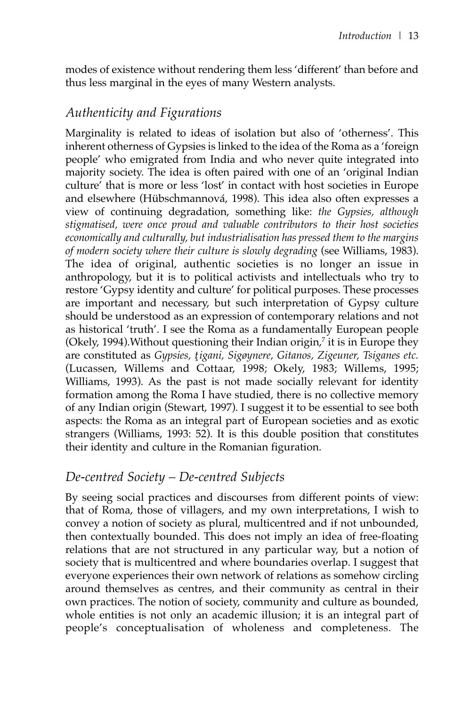modes of existence without rendering them less 'different' than before and thus less marginal in the eyes of many Western analysts.

## *Authenticity and Figurations*

Marginality is related to ideas of isolation but also of 'otherness'. This inherent otherness of Gypsies is linked to the idea of the Roma as a 'foreign people' who emigrated from India and who never quite integrated into majority society. The idea is often paired with one of an 'original Indian culture' that is more or less 'lost' in contact with host societies in Europe and elsewhere (Hübschmannová, 1998). This idea also often expresses a view of continuing degradation, something like: *the Gypsies, although stigmatised, were once proud and valuable contributors to their host societies economically and culturally, but industrialisation has pressed them to the margins of modern society where their culture is slowly degrading* (see Williams, 1983). The idea of original, authentic societies is no longer an issue in anthropology, but it is to political activists and intellectuals who try to restore 'Gypsy identity and culture' for political purposes. These processes are important and necessary, but such interpretation of Gypsy culture should be understood as an expression of contemporary relations and not as historical 'truth'. I see the Roma as a fundamentally European people (Okely, 1994). Without questioning their Indian origin, $\frac{7}{7}$  it is in Europe they are constituted as *Gypsies, tigani, Sigøynere, Gitanos, Zigeuner*, Tsiganes etc. (Lucassen, Willems and Cottaar, 1998; Okely, 1983; Willems, 1995; Williams, 1993). As the past is not made socially relevant for identity formation among the Roma I have studied, there is no collective memory of any Indian origin (Stewart, 1997). I suggest it to be essential to see both aspects: the Roma as an integral part of European societies and as exotic strangers (Williams, 1993: 52). It is this double position that constitutes their identity and culture in the Romanian figuration.

## *De-centred Society – De-centred Subjects*

By seeing social practices and discourses from different points of view: that of Roma, those of villagers, and my own interpretations, I wish to convey a notion of society as plural, multicentred and if not unbounded, then contextually bounded. This does not imply an idea of free-floating relations that are not structured in any particular way, but a notion of society that is multicentred and where boundaries overlap. I suggest that everyone experiences their own network of relations as somehow circling around themselves as centres, and their community as central in their own practices. The notion of society, community and culture as bounded, whole entities is not only an academic illusion; it is an integral part of people's conceptualisation of wholeness and completeness. The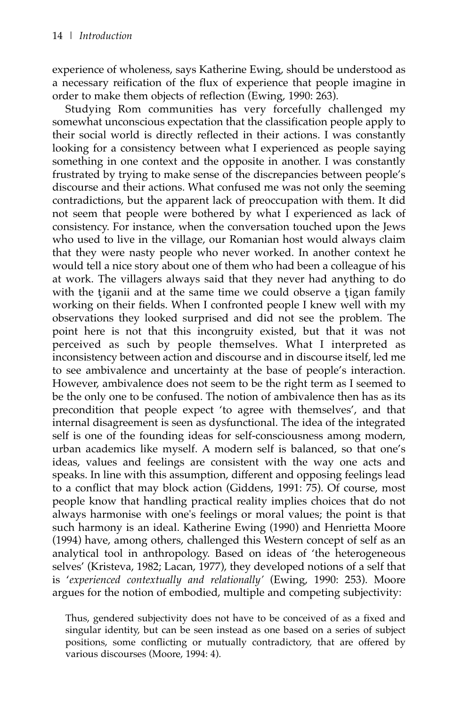experience of wholeness, says Katherine Ewing, should be understood as a necessary reification of the flux of experience that people imagine in order to make them objects of reflection (Ewing, 1990: 263).

Studying Rom communities has very forcefully challenged my somewhat unconscious expectation that the classification people apply to their social world is directly reflected in their actions. I was constantly looking for a consistency between what I experienced as people saying something in one context and the opposite in another. I was constantly frustrated by trying to make sense of the discrepancies between people's discourse and their actions. What confused me was not only the seeming contradictions, but the apparent lack of preoccupation with them. It did not seem that people were bothered by what I experienced as lack of consistency. For instance, when the conversation touched upon the Jews who used to live in the village, our Romanian host would always claim that they were nasty people who never worked. In another context he would tell a nice story about one of them who had been a colleague of his at work. The villagers always said that they never had anything to do with the tiganii and at the same time we could observe a tigan family working on their fields. When I confronted people I knew well with my observations they looked surprised and did not see the problem. The point here is not that this incongruity existed, but that it was not perceived as such by people themselves. What I interpreted as inconsistency between action and discourse and in discourse itself, led me to see ambivalence and uncertainty at the base of people's interaction. However, ambivalence does not seem to be the right term as I seemed to be the only one to be confused. The notion of ambivalence then has as its precondition that people expect 'to agree with themselves', and that internal disagreement is seen as dysfunctional. The idea of the integrated self is one of the founding ideas for self-consciousness among modern, urban academics like myself. A modern self is balanced, so that one's ideas, values and feelings are consistent with the way one acts and speaks. In line with this assumption, different and opposing feelings lead to a conflict that may block action (Giddens, 1991: 75). Of course, most people know that handling practical reality implies choices that do not always harmonise with one's feelings or moral values; the point is that such harmony is an ideal. Katherine Ewing (1990) and Henrietta Moore (1994) have, among others, challenged this Western concept of self as an analytical tool in anthropology. Based on ideas of 'the heterogeneous selves' (Kristeva, 1982; Lacan, 1977), they developed notions of a self that is '*experienced contextually and relationally'* (Ewing, 1990: 253). Moore argues for the notion of embodied, multiple and competing subjectivity:

Thus, gendered subjectivity does not have to be conceived of as a fixed and singular identity, but can be seen instead as one based on a series of subject positions, some conflicting or mutually contradictory, that are offered by various discourses (Moore, 1994: 4).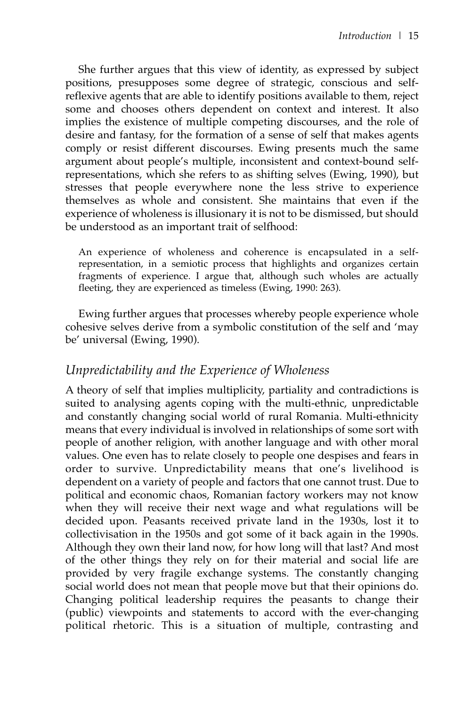She further argues that this view of identity, as expressed by subject positions, presupposes some degree of strategic, conscious and selfreflexive agents that are able to identify positions available to them, reject some and chooses others dependent on context and interest. It also implies the existence of multiple competing discourses, and the role of desire and fantasy, for the formation of a sense of self that makes agents comply or resist different discourses. Ewing presents much the same argument about people's multiple, inconsistent and context-bound selfrepresentations, which she refers to as shifting selves (Ewing, 1990), but stresses that people everywhere none the less strive to experience themselves as whole and consistent. She maintains that even if the experience of wholeness is illusionary it is not to be dismissed, but should be understood as an important trait of selfhood:

An experience of wholeness and coherence is encapsulated in a selfrepresentation, in a semiotic process that highlights and organizes certain fragments of experience. I argue that, although such wholes are actually fleeting, they are experienced as timeless (Ewing, 1990: 263).

Ewing further argues that processes whereby people experience whole cohesive selves derive from a symbolic constitution of the self and 'may be' universal (Ewing, 1990).

#### *Unpredictability and the Experience of Wholeness*

A theory of self that implies multiplicity, partiality and contradictions is suited to analysing agents coping with the multi-ethnic, unpredictable and constantly changing social world of rural Romania. Multi-ethnicity means that every individual is involved in relationships of some sort with people of another religion, with another language and with other moral values. One even has to relate closely to people one despises and fears in order to survive. Unpredictability means that one's livelihood is dependent on a variety of people and factors that one cannot trust. Due to political and economic chaos, Romanian factory workers may not know when they will receive their next wage and what regulations will be decided upon. Peasants received private land in the 1930s, lost it to collectivisation in the 1950s and got some of it back again in the 1990s. Although they own their land now, for how long will that last? And most of the other things they rely on for their material and social life are provided by very fragile exchange systems. The constantly changing social world does not mean that people move but that their opinions do. Changing political leadership requires the peasants to change their (public) viewpoints and statements to accord with the ever-changing political rhetoric. This is a situation of multiple, contrasting and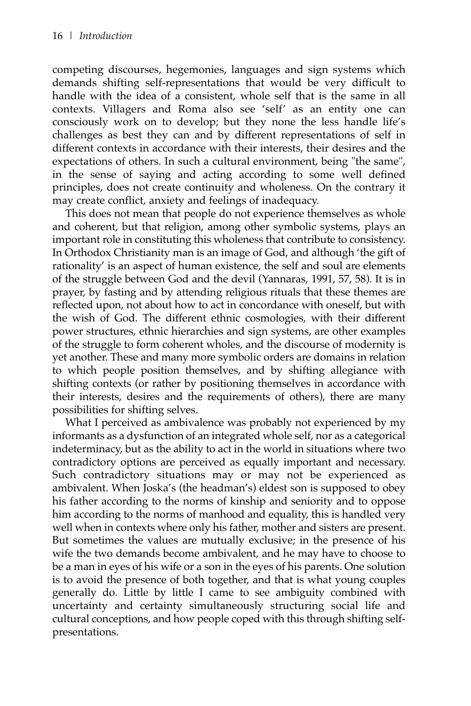competing discourses, hegemonies, languages and sign systems which demands shifting self-representations that would be very difficult to handle with the idea of a consistent, whole self that is the same in all contexts. Villagers and Roma also see 'self' as an entity one can consciously work on to develop; but they none the less handle life's challenges as best they can and by different representations of self in different contexts in accordance with their interests, their desires and the expectations of others. In such a cultural environment, being "the same", in the sense of saying and acting according to some well defined principles, does not create continuity and wholeness. On the contrary it may create conflict, anxiety and feelings of inadequacy.

This does not mean that people do not experience themselves as whole and coherent, but that religion, among other symbolic systems, plays an important role in constituting this wholeness that contribute to consistency. In Orthodox Christianity man is an image of God, and although 'the gift of rationality' is an aspect of human existence, the self and soul are elements of the struggle between God and the devil (Yannaras, 1991, 57, 58). It is in prayer, by fasting and by attending religious rituals that these themes are reflected upon, not about how to act in concordance with oneself, but with the wish of God. The different ethnic cosmologies, with their different power structures, ethnic hierarchies and sign systems, are other examples of the struggle to form coherent wholes, and the discourse of modernity is yet another. These and many more symbolic orders are domains in relation to which people position themselves, and by shifting allegiance with shifting contexts (or rather by positioning themselves in accordance with their interests, desires and the requirements of others), there are many possibilities for shifting selves.

What I perceived as ambivalence was probably not experienced by my informants as a dysfunction of an integrated whole self, nor as a categorical indeterminacy, but as the ability to act in the world in situations where two contradictory options are perceived as equally important and necessary. Such contradictory situations may or may not be experienced as ambivalent. When Joska's (the headman's) eldest son is supposed to obey his father according to the norms of kinship and seniority and to oppose him according to the norms of manhood and equality, this is handled very well when in contexts where only his father, mother and sisters are present. But sometimes the values are mutually exclusive; in the presence of his wife the two demands become ambivalent, and he may have to choose to be a man in eyes of his wife or a son in the eyes of his parents. One solution is to avoid the presence of both together, and that is what young couples generally do. Little by little I came to see ambiguity combined with uncertainty and certainty simultaneously structuring social life and cultural conceptions, and how people coped with this through shifting selfpresentations.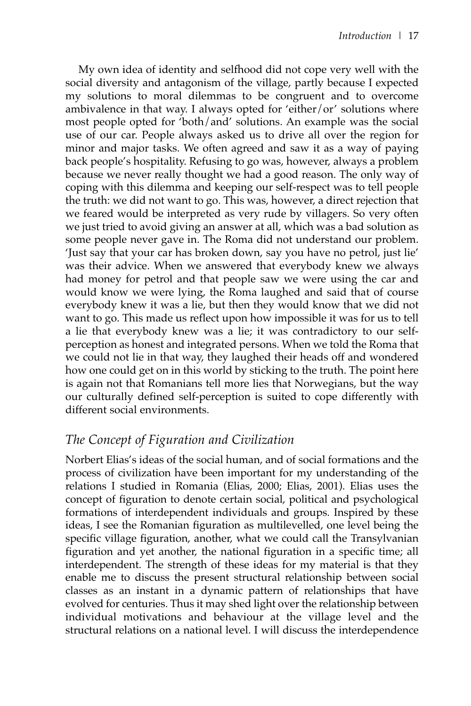My own idea of identity and selfhood did not cope very well with the social diversity and antagonism of the village, partly because I expected my solutions to moral dilemmas to be congruent and to overcome ambivalence in that way. I always opted for 'either/or' solutions where most people opted for 'both/and' solutions. An example was the social use of our car. People always asked us to drive all over the region for minor and major tasks. We often agreed and saw it as a way of paying back people's hospitality. Refusing to go was, however, always a problem because we never really thought we had a good reason. The only way of coping with this dilemma and keeping our self-respect was to tell people the truth: we did not want to go. This was, however, a direct rejection that we feared would be interpreted as very rude by villagers. So very often we just tried to avoid giving an answer at all, which was a bad solution as some people never gave in. The Roma did not understand our problem. 'Just say that your car has broken down, say you have no petrol, just lie' was their advice. When we answered that everybody knew we always had money for petrol and that people saw we were using the car and would know we were lying, the Roma laughed and said that of course everybody knew it was a lie, but then they would know that we did not want to go. This made us reflect upon how impossible it was for us to tell a lie that everybody knew was a lie; it was contradictory to our selfperception as honest and integrated persons. When we told the Roma that we could not lie in that way, they laughed their heads off and wondered how one could get on in this world by sticking to the truth. The point here is again not that Romanians tell more lies that Norwegians, but the way our culturally defined self-perception is suited to cope differently with different social environments.

# *The Concept of Figuration and Civilization*

Norbert Elias's ideas of the social human, and of social formations and the process of civilization have been important for my understanding of the relations I studied in Romania (Elias, 2000; Elias, 2001). Elias uses the concept of figuration to denote certain social, political and psychological formations of interdependent individuals and groups. Inspired by these ideas, I see the Romanian figuration as multilevelled, one level being the specific village figuration, another, what we could call the Transylvanian figuration and yet another, the national figuration in a specific time; all interdependent. The strength of these ideas for my material is that they enable me to discuss the present structural relationship between social classes as an instant in a dynamic pattern of relationships that have evolved for centuries. Thus it may shed light over the relationship between individual motivations and behaviour at the village level and the structural relations on a national level. I will discuss the interdependence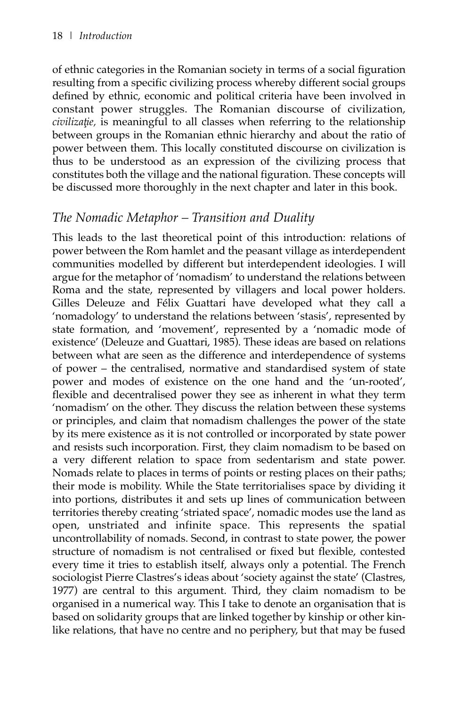of ethnic categories in the Romanian society in terms of a social figuration resulting from a specific civilizing process whereby different social groups defined by ethnic, economic and political criteria have been involved in constant power struggles. The Romanian discourse of civilization, *civilizație*, is meaningful to all classes when referring to the relationship between groups in the Romanian ethnic hierarchy and about the ratio of power between them. This locally constituted discourse on civilization is thus to be understood as an expression of the civilizing process that constitutes both the village and the national figuration. These concepts will be discussed more thoroughly in the next chapter and later in this book.

## *The Nomadic Metaphor – Transition and Duality*

This leads to the last theoretical point of this introduction: relations of power between the Rom hamlet and the peasant village as interdependent communities modelled by different but interdependent ideologies. I will argue for the metaphor of 'nomadism' to understand the relations between Roma and the state, represented by villagers and local power holders. Gilles Deleuze and Félix Guattari have developed what they call a 'nomadology' to understand the relations between 'stasis', represented by state formation, and 'movement', represented by a 'nomadic mode of existence' (Deleuze and Guattari, 1985). These ideas are based on relations between what are seen as the difference and interdependence of systems of power – the centralised, normative and standardised system of state power and modes of existence on the one hand and the 'un-rooted', flexible and decentralised power they see as inherent in what they term 'nomadism' on the other. They discuss the relation between these systems or principles, and claim that nomadism challenges the power of the state by its mere existence as it is not controlled or incorporated by state power and resists such incorporation. First, they claim nomadism to be based on a very different relation to space from sedentarism and state power. Nomads relate to places in terms of points or resting places on their paths; their mode is mobility. While the State territorialises space by dividing it into portions, distributes it and sets up lines of communication between territories thereby creating 'striated space', nomadic modes use the land as open, unstriated and infinite space. This represents the spatial uncontrollability of nomads. Second, in contrast to state power, the power structure of nomadism is not centralised or fixed but flexible, contested every time it tries to establish itself, always only a potential. The French sociologist Pierre Clastres's ideas about 'society against the state' (Clastres, 1977) are central to this argument. Third, they claim nomadism to be organised in a numerical way. This I take to denote an organisation that is based on solidarity groups that are linked together by kinship or other kinlike relations, that have no centre and no periphery, but that may be fused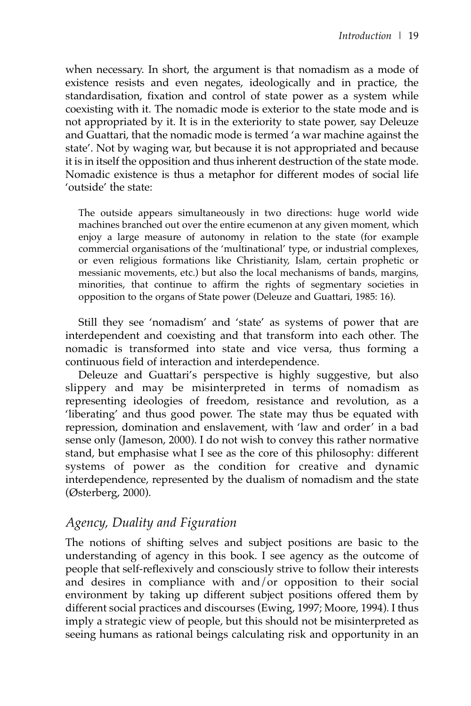when necessary. In short, the argument is that nomadism as a mode of existence resists and even negates, ideologically and in practice, the standardisation, fixation and control of state power as a system while coexisting with it. The nomadic mode is exterior to the state mode and is not appropriated by it. It is in the exteriority to state power, say Deleuze and Guattari, that the nomadic mode is termed 'a war machine against the state'. Not by waging war, but because it is not appropriated and because it is in itself the opposition and thus inherent destruction of the state mode. Nomadic existence is thus a metaphor for different modes of social life 'outside' the state:

The outside appears simultaneously in two directions: huge world wide machines branched out over the entire ecumenon at any given moment, which enjoy a large measure of autonomy in relation to the state (for example commercial organisations of the 'multinational' type, or industrial complexes, or even religious formations like Christianity, Islam, certain prophetic or messianic movements, etc.) but also the local mechanisms of bands, margins, minorities, that continue to affirm the rights of segmentary societies in opposition to the organs of State power (Deleuze and Guattari, 1985: 16).

Still they see 'nomadism' and 'state' as systems of power that are interdependent and coexisting and that transform into each other. The nomadic is transformed into state and vice versa, thus forming a continuous field of interaction and interdependence.

Deleuze and Guattari's perspective is highly suggestive, but also slippery and may be misinterpreted in terms of nomadism as representing ideologies of freedom, resistance and revolution, as a 'liberating' and thus good power. The state may thus be equated with repression, domination and enslavement, with 'law and order' in a bad sense only (Jameson, 2000). I do not wish to convey this rather normative stand, but emphasise what I see as the core of this philosophy: different systems of power as the condition for creative and dynamic interdependence, represented by the dualism of nomadism and the state (Østerberg, 2000).

## *Agency, Duality and Figuration*

The notions of shifting selves and subject positions are basic to the understanding of agency in this book. I see agency as the outcome of people that self-reflexively and consciously strive to follow their interests and desires in compliance with and/or opposition to their social environment by taking up different subject positions offered them by different social practices and discourses (Ewing, 1997; Moore, 1994). I thus imply a strategic view of people, but this should not be misinterpreted as seeing humans as rational beings calculating risk and opportunity in an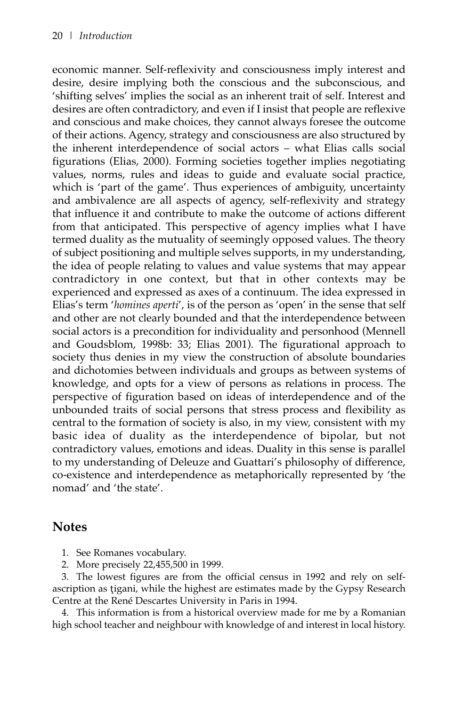economic manner. Self-reflexivity and consciousness imply interest and desire, desire implying both the conscious and the subconscious, and 'shifting selves' implies the social as an inherent trait of self. Interest and desires are often contradictory, and even if I insist that people are reflexive and conscious and make choices, they cannot always foresee the outcome of their actions. Agency, strategy and consciousness are also structured by the inherent interdependence of social actors – what Elias calls social figurations (Elias, 2000). Forming societies together implies negotiating values, norms, rules and ideas to guide and evaluate social practice, which is 'part of the game'. Thus experiences of ambiguity, uncertainty and ambivalence are all aspects of agency, self-reflexivity and strategy that influence it and contribute to make the outcome of actions different from that anticipated. This perspective of agency implies what I have termed duality as the mutuality of seemingly opposed values. The theory of subject positioning and multiple selves supports, in my understanding, the idea of people relating to values and value systems that may appear contradictory in one context, but that in other contexts may be experienced and expressed as axes of a continuum. The idea expressed in Elias's term '*homines aperti*', is of the person as 'open' in the sense that self and other are not clearly bounded and that the interdependence between social actors is a precondition for individuality and personhood (Mennell and Goudsblom, 1998b: 33; Elias 2001). The figurational approach to society thus denies in my view the construction of absolute boundaries and dichotomies between individuals and groups as between systems of knowledge, and opts for a view of persons as relations in process. The perspective of figuration based on ideas of interdependence and of the unbounded traits of social persons that stress process and flexibility as central to the formation of society is also, in my view, consistent with my basic idea of duality as the interdependence of bipolar, but not contradictory values, emotions and ideas. Duality in this sense is parallel to my understanding of Deleuze and Guattari's philosophy of difference, co-existence and interdependence as metaphorically represented by 'the nomad' and 'the state'.

#### **Notes**

1. See Romanes vocabulary.

2. More precisely 22,455,500 in 1999.

3. The lowest figures are from the official census in 1992 and rely on selfascription as tigani, while the highest are estimates made by the Gypsy Research Centre at the René Descartes University in Paris in 1994.

4. This information is from a historical overview made for me by a Romanian high school teacher and neighbour with knowledge of and interest in local history.